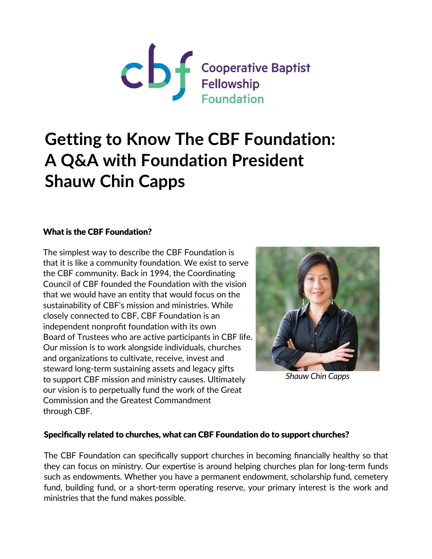

# **Getting to Know The CBF Foundation: A Q&A with Foundation President Shauw Chin Capps**

### What is the CBF Foundation?

The simplest way to describe the CBF Foundation is that it is like a community foundation. We exist to serve the CBF community. Back in 1994, the Coordinating Council of CBF founded the Foundation with the vision that we would have an entity that would focus on the sustainability of CBF's mission and ministries. While closely connected to CBF, CBF Foundation is an independent nonprofit foundation with its own Board of Trustees who are active participants in CBF life. Our mission is to work alongside individuals, churches and organizations to cultivate, receive, invest and steward long-term sustaining assets and legacy gifts to support CBF mission and ministry causes. Ultimately our vision is to perpetually fund the work of the Great Commission and the Greatest Commandment through CBF.



*Shauw Chin Capps*

#### Specifically related to churches, what can CBF Foundation do to support churches?

The CBF Foundation can specifically support churches in becoming financially healthy so that they can focus on ministry. Our expertise is around helping churches plan for long-term funds such as endowments. Whether you have a permanent endowment, scholarship fund, cemetery fund, building fund, or a short-term operating reserve, your primary interest is the work and ministries that the fund makes possible.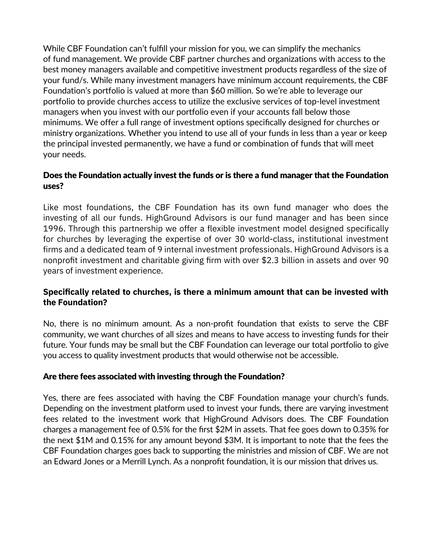While CBF Foundation can't fulfill your mission for you, we can simplify the mechanics of fund management. We provide CBF partner churches and organizations with access to the best money managers available and competitive investment products regardless of the size of your fund/s. While many investment managers have minimum account requirements, the CBF Foundation's portfolio is valued at more than \$60 million. So we're able to leverage our portfolio to provide churches access to utilize the exclusive services of top-level investment managers when you invest with our portfolio even if your accounts fall below those minimums. We offer a full range of investment options specifically designed for churches or ministry organizations. Whether you intend to use all of your funds in less than a year or keep the principal invested permanently, we have a fund or combination of funds that will meet your needs.

### Does the Foundation actually invest the funds or is there a fund manager that the Foundation uses?

Like most foundations, the CBF Foundation has its own fund manager who does the investing of all our funds. HighGround Advisors is our fund manager and has been since 1996. Through this partnership we offer a flexible investment model designed specifically for churches by leveraging the expertise of over 30 world-class, institutional investment firms and a dedicated team of 9 internal investment professionals. HighGround Advisors is a nonprofit investment and charitable giving firm with over \$2.3 billion in assets and over 90 years of investment experience.

### **Specifically related to churches, is there a minimum amount that can be invested with the Foundation?**

No, there is no minimum amount. As a non-profit foundation that exists to serve the CBF community, we want churches of all sizes and means to have access to investing funds for their future. Your funds may be small but the CBF Foundation can leverage our total portfolio to give you access to quality investment products that would otherwise not be accessible.

### Are there fees associated with investing through the Foundation?

Yes, there are fees associated with having the CBF Foundation manage your church's funds. Depending on the investment platform used to invest your funds, there are varying investment fees related to the investment work that HighGround Advisors does. The CBF Foundation charges a management fee of 0.5% for the first \$2M in assets. That fee goes down to 0.35% for the next \$1M and 0.15% for any amount beyond \$3M. It is important to note that the fees the CBF Foundation charges goes back to supporting the ministries and mission of CBF. We are not an Edward Jones or a Merrill Lynch. As a nonprofit foundation, it is our mission that drives us.